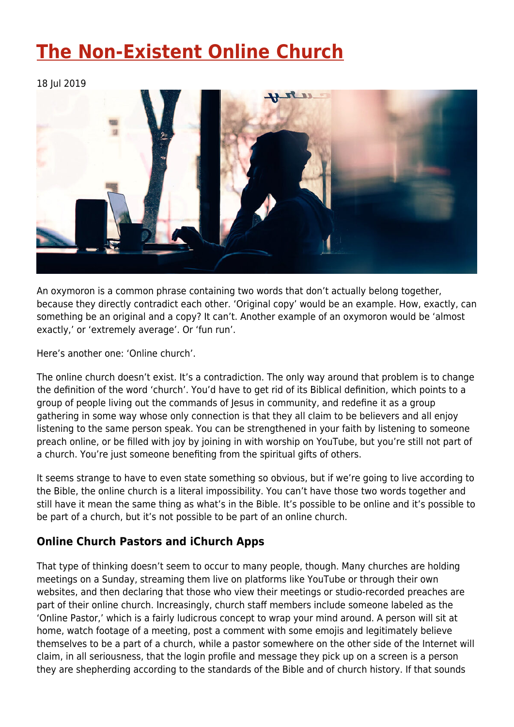# **[The Non-Existent Online Church](https://four12global.com/articles/the-non-existent-online-church/)**

18 Jul 2019



An oxymoron is a common phrase containing two words that don't actually belong together, because they directly contradict each other. 'Original copy' would be an example. How, exactly, can something be an original and a copy? It can't. Another example of an oxymoron would be 'almost exactly,' or 'extremely average'. Or 'fun run'.

Here's another one: 'Online church'.

The online church doesn't exist. It's a contradiction. The only way around that problem is to change the definition of the word 'church'. You'd have to get rid of its Biblical definition, which points to a group of people living out the commands of Jesus in community, and redefine it as a group gathering in some way whose only connection is that they all claim to be believers and all enjoy listening to the same person speak. You can be strengthened in your faith by listening to someone preach online, or be filled with joy by joining in with worship on YouTube, but you're still not part of a church. You're just someone benefiting from the spiritual gifts of others.

It seems strange to have to even state something so obvious, but if we're going to live according to the Bible, the online church is a literal impossibility. You can't have those two words together and still have it mean the same thing as what's in the Bible. It's possible to be online and it's possible to be part of a church, but it's not possible to be part of an online church.

# **Online Church Pastors and iChurch Apps**

That type of thinking doesn't seem to occur to many people, though. Many churches are holding meetings on a Sunday, streaming them live on platforms like YouTube or through their own websites, and then declaring that those who view their meetings or studio-recorded preaches are part of their online church. Increasingly, church staff members include someone labeled as the 'Online Pastor,' which is a fairly ludicrous concept to wrap your mind around. A person will sit at home, watch footage of a meeting, post a comment with some emojis and legitimately believe themselves to be a part of a church, while a pastor somewhere on the other side of the Internet will claim, in all seriousness, that the login profile and message they pick up on a screen is a person they are shepherding according to the standards of the Bible and of church history. If that sounds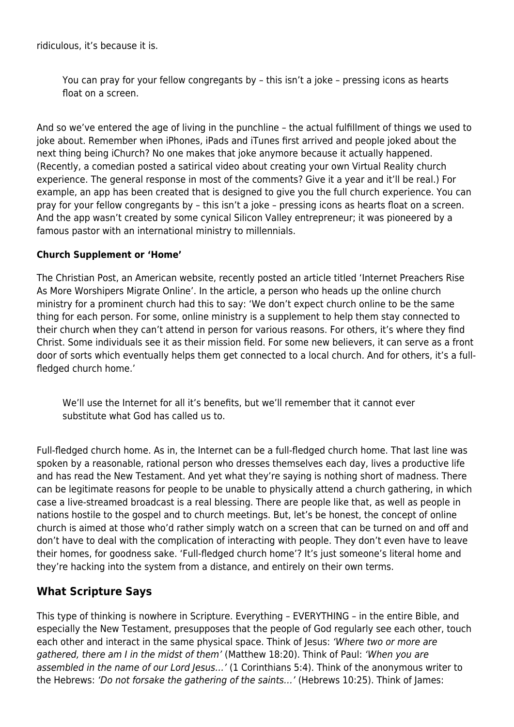ridiculous, it's because it is.

You can pray for your fellow congregants by – this isn't a joke – pressing icons as hearts float on a screen.

And so we've entered the age of living in the punchline – the actual fulfillment of things we used to joke about. Remember when iPhones, iPads and iTunes first arrived and people joked about the next thing being iChurch? No one makes that joke anymore because it actually happened. (Recently, a comedian posted a satirical video about creating your own Virtual Reality church experience. The general response in most of the comments? Give it a year and it'll be real.) For example, an app has been created that is designed to give you the full church experience. You can pray for your fellow congregants by – this isn't a joke – pressing icons as hearts float on a screen. And the app wasn't created by some cynical Silicon Valley entrepreneur; it was pioneered by a famous pastor with an international ministry to millennials.

#### **Church Supplement or 'Home'**

The Christian Post, an American website, recently posted an article titled 'Internet Preachers Rise As More Worshipers Migrate Online'. In the article, a person who heads up the online church ministry for a prominent church had this to say: 'We don't expect church online to be the same thing for each person. For some, online ministry is a supplement to help them stay connected to their church when they can't attend in person for various reasons. For others, it's where they find Christ. Some individuals see it as their mission field. For some new believers, it can serve as a front door of sorts which eventually helps them get connected to a local church. And for others, it's a fullfledged church home.'

We'll use the Internet for all it's benefits, but we'll remember that it cannot ever substitute what God has called us to.

Full-fledged church home. As in, the Internet can be a full-fledged church home. That last line was spoken by a reasonable, rational person who dresses themselves each day, lives a productive life and has read the New Testament. And yet what they're saying is nothing short of madness. There can be legitimate reasons for people to be unable to physically attend a church gathering, in which case a live-streamed broadcast is a real blessing. There are people like that, as well as people in nations hostile to the gospel and to church meetings. But, let's be honest, the concept of online church is aimed at those who'd rather simply watch on a screen that can be turned on and off and don't have to deal with the complication of interacting with people. They don't even have to leave their homes, for goodness sake. 'Full-fledged church home'? It's just someone's literal home and they're hacking into the system from a distance, and entirely on their own terms.

# **What Scripture Says**

This type of thinking is nowhere in Scripture. Everything – EVERYTHING – in the entire Bible, and especially the New Testament, presupposes that the people of God regularly see each other, touch each other and interact in the same physical space. Think of Jesus: 'Where two or more are gathered, there am I in the midst of them' (Matthew 18:20). Think of Paul: 'When you are assembled in the name of our Lord Jesus…' (1 Corinthians 5:4). Think of the anonymous writer to the Hebrews: 'Do not forsake the gathering of the saints…' (Hebrews 10:25). Think of James: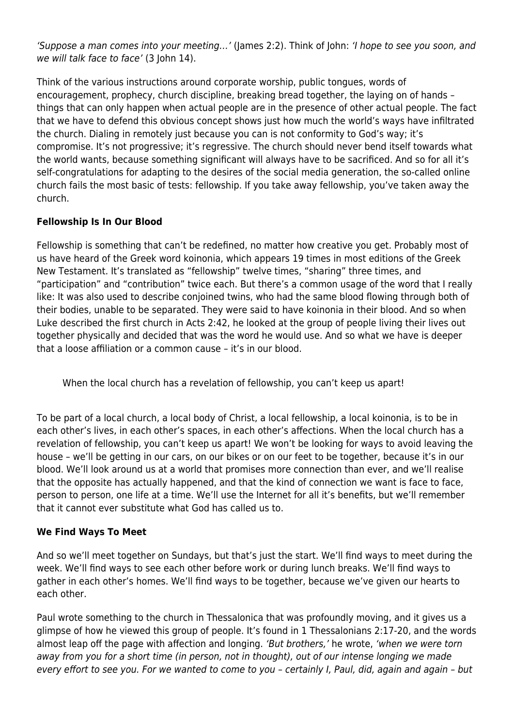'Suppose a man comes into your meeting…' (James 2:2). Think of John: 'I hope to see you soon, and we will talk face to face' (3 John 14).

Think of the various instructions around corporate worship, public tongues, words of encouragement, prophecy, church discipline, breaking bread together, the laying on of hands – things that can only happen when actual people are in the presence of other actual people. The fact that we have to defend this obvious concept shows just how much the world's ways have infiltrated the church. Dialing in remotely just because you can is not conformity to God's way; it's compromise. It's not progressive; it's regressive. The church should never bend itself towards what the world wants, because something significant will always have to be sacrificed. And so for all it's self-congratulations for adapting to the desires of the social media generation, the so-called online church fails the most basic of tests: fellowship. If you take away fellowship, you've taken away the church.

### **Fellowship Is In Our Blood**

Fellowship is something that can't be redefined, no matter how creative you get. Probably most of us have heard of the Greek word koinonia, which appears 19 times in most editions of the Greek New Testament. It's translated as "fellowship" twelve times, "sharing" three times, and "participation" and "contribution" twice each. But there's a common usage of the word that I really like: It was also used to describe conjoined twins, who had the same blood flowing through both of their bodies, unable to be separated. They were said to have koinonia in their blood. And so when Luke described the first church in Acts 2:42, he looked at the group of people living their lives out together physically and decided that was the word he would use. And so what we have is deeper that a loose affiliation or a common cause – it's in our blood.

When the local church has a revelation of fellowship, you can't keep us apart!

To be part of a local church, a local body of Christ, a local fellowship, a local koinonia, is to be in each other's lives, in each other's spaces, in each other's affections. When the local church has a revelation of fellowship, you can't keep us apart! We won't be looking for ways to avoid leaving the house – we'll be getting in our cars, on our bikes or on our feet to be together, because it's in our blood. We'll look around us at a world that promises more connection than ever, and we'll realise that the opposite has actually happened, and that the kind of connection we want is face to face, person to person, one life at a time. We'll use the Internet for all it's benefits, but we'll remember that it cannot ever substitute what God has called us to.

### **We Find Ways To Meet**

And so we'll meet together on Sundays, but that's just the start. We'll find ways to meet during the week. We'll find ways to see each other before work or during lunch breaks. We'll find ways to gather in each other's homes. We'll find ways to be together, because we've given our hearts to each other.

Paul wrote something to the church in Thessalonica that was profoundly moving, and it gives us a glimpse of how he viewed this group of people. It's found in 1 Thessalonians 2:17-20, and the words almost leap off the page with affection and longing. 'But brothers,' he wrote, 'when we were torn away from you for a short time (in person, not in thought), out of our intense longing we made every effort to see you. For we wanted to come to you – certainly I, Paul, did, again and again – but